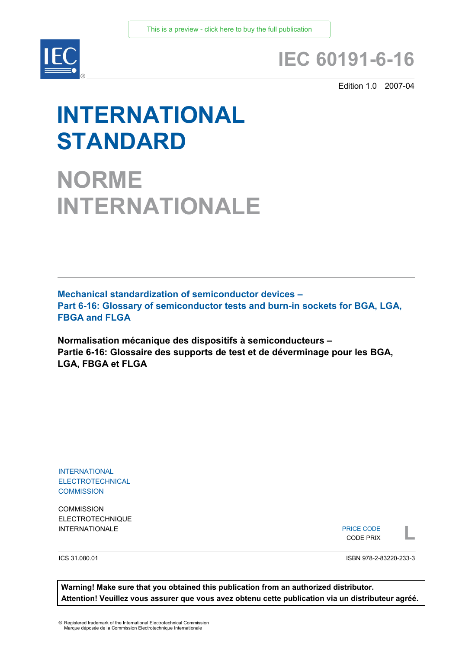

# **IEC 60191-6-16**

Edition 1.0 2007-04

# **INTERNATIONAL STANDARD**

**NORME INTERNATIONALE**

**Mechanical standardization of semiconductor devices – Part 6-16: Glossary of semiconductor tests and burn-in sockets for BGA, LGA, FBGA and FLGA** 

**Normalisation mécanique des dispositifs à semiconducteurs – Partie 6-16: Glossaire des supports de test et de déverminage pour les BGA, LGA, FBGA et FLGA** 

INTERNATIONAL **ELECTROTECHNICAL COMMISSION** 

**COMMISSION** ELECTROTECHNIQUE

INTERNATIONALE PRICE CODE PRIX PRICE CODE CODE PRIX

ICS 31.080.01

ISBN 978-2-83220-233-3

**Warning! Make sure that you obtained this publication from an authorized distributor. Attention! Veuillez vous assurer que vous avez obtenu cette publication via un distributeur agréé.**

® Registered trademark of the International Electrotechnical Commission Marque déposée de la Commission Electrotechnique Internationale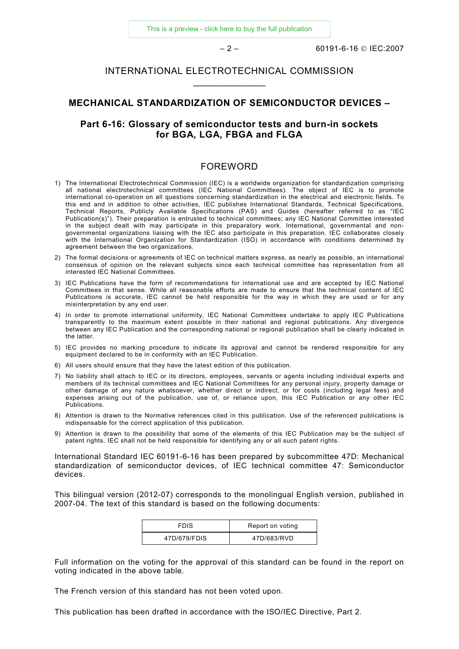# INTERNATIONAL ELECTROTECHNICAL COMMISSION \_\_\_\_\_\_\_\_\_\_\_\_\_\_

#### **MECHANICAL STANDARDIZATION OF SEMICONDUCTOR DEVICES –**

# **Part 6-16: Glossary of semiconductor tests and burn-in sockets for BGA, LGA, FBGA and FLGA**

#### FOREWORD

- 1) The International Electrotechnical Commission (IEC) is a worldwide organization for standardization comprising all national electrotechnical committees (IEC National Committees). The object of IEC is to promote international co-operation on all questions concerning standardization in the electrical and electronic fields. To this end and in addition to other activities, IEC publishes International Standards, Technical Specifications, Technical Reports, Publicly Available Specifications (PAS) and Guides (hereafter referred to as "IEC Publication(s)"). Their preparation is entrusted to technical committees; any IEC National Committee interested in the subject dealt with may participate in this preparatory work. International, governmental and nongovernmental organizations liaising with the IEC also participate in this preparation. IEC collaborates closely with the International Organization for Standardization (ISO) in accordance with conditions determined by agreement between the two organizations.
- 2) The formal decisions or agreements of IEC on technical matters express, as nearly as possible, an international consensus of opinion on the relevant subjects since each technical committee has representation from all interested IEC National Committees.
- 3) IEC Publications have the form of recommendations for international use and are accepted by IEC National Committees in that sense. While all reasonable efforts are made to ensure that the technical content of IEC Publications is accurate, IEC cannot be held responsible for the way in which they are used or for any misinterpretation by any end user.
- 4) In order to promote international uniformity, IEC National Committees undertake to apply IEC Publications transparently to the maximum extent possible in their national and regional publications. Any divergence between any IEC Publication and the corresponding national or regional publication shall be clearly indicated in the latter.
- 5) IEC provides no marking procedure to indicate its approval and cannot be rendered responsible for any equipment declared to be in conformity with an IEC Publication.
- 6) All users should ensure that they have the latest edition of this publication.
- 7) No liability shall attach to IEC or its directors, employees, servants or agents including individual experts and members of its technical committees and IEC National Committees for any personal injury, property damage or other damage of any nature whatsoever, whether direct or indirect, or for costs (including legal fees) and expenses arising out of the publication, use of, or reliance upon, this IEC Publication or any other IEC Publications.
- 8) Attention is drawn to the Normative references cited in this publication. Use of the referenced publications is indispensable for the correct application of this publication.
- 9) Attention is drawn to the possibility that some of the elements of this IEC Publication may be the subject of patent rights. IEC shall not be held responsible for identifying any or all such patent rights.

International Standard IEC 60191-6-16 has been prepared by subcommittee 47D: Mechanical standardization of semiconductor devices, of IEC technical committee 47: Semiconductor devices.

This bilingual version (2012-07) corresponds to the monolingual English version, published in 2007-04. The text of this standard is based on the following documents:

| <b>FDIS</b>  | Report on voting |
|--------------|------------------|
| 47D/679/FDIS | 47D/683/RVD      |

Full information on the voting for the approval of this standard can be found in the report on voting indicated in the above table.

The French version of this standard has not been voted upon.

This publication has been drafted in accordance with the ISO/IEC Directive, Part 2.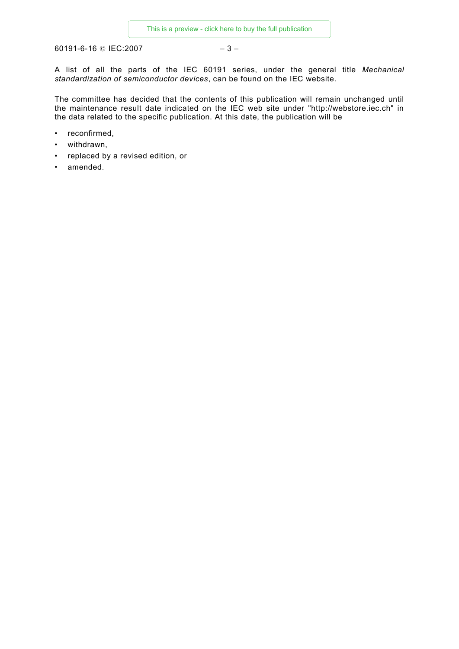60191-6-16 © IEC:2007  $-3-$ 

A list of all the parts of the IEC 60191 series, under the general title *Mechanical standardization of semiconductor devices*, can be found on the IEC website.

The committee has decided that the contents of this publication will remain unchanged until the maintenance result date indicated on the IEC web site under "http://webstore.iec.ch" in the data related to the specific publication. At this date, the publication will be

- reconfirmed,
- withdrawn,
- replaced by a revised edition, or
- amended.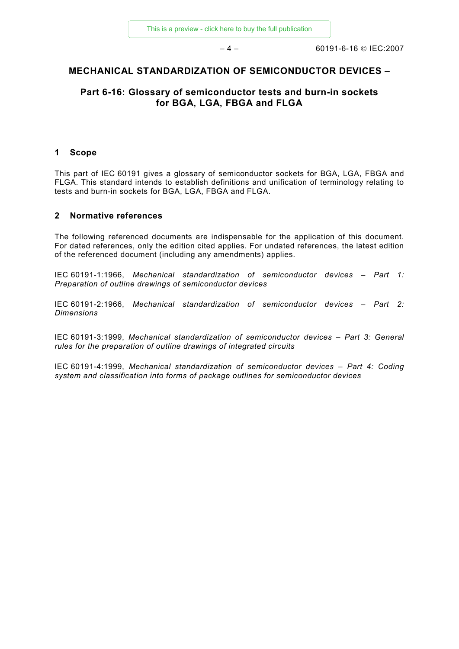# **MECHANICAL STANDARDIZATION OF SEMICONDUCTOR DEVICES –**

# **Part 6-16: Glossary of semiconductor tests and burn-in sockets for BGA, LGA, FBGA and FLGA**

#### **1 Scope**

This part of IEC 60191 gives a glossary of semiconductor sockets for BGA, LGA, FBGA and FLGA. This standard intends to establish definitions and unification of terminology relating to tests and burn-in sockets for BGA, LGA, FBGA and FLGA.

#### **2 Normative references**

The following referenced documents are indispensable for the application of this document. For dated references, only the edition cited applies. For undated references, the latest edition of the referenced document (including any amendments) applies.

IEC 60191-1:1966, *Mechanical standardization of semiconductor devices – Part 1: Preparation of outline drawings of semiconductor devices*

IEC 60191-2:1966, *Mechanical standardization of semiconductor devices – Part 2: Dimensions*

IEC 60191-3:1999, *Mechanical standardization of semiconductor devices – Part 3: General rules for the preparation of outline drawings of integrated circuits*

IEC 60191-4:1999, *Mechanical standardization of semiconductor devices – Part 4: Coding system and classification into forms of package outlines for semiconductor devices*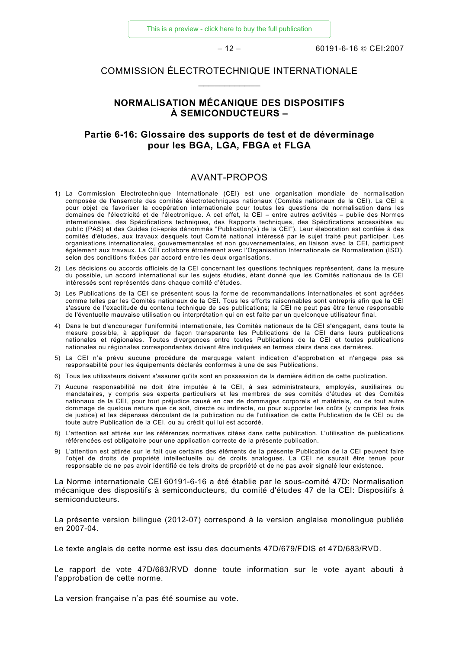# COMMISSION ÉLECTROTECHNIQUE INTERNATIONALE \_\_\_\_\_\_\_\_\_\_\_\_

# **NORMALISATION MÉCANIQUE DES DISPOSITIFS À SEMICONDUCTEURS –**

### **Partie 6-16: Glossaire des supports de test et de déverminage pour les BGA, LGA, FBGA et FLGA**

#### AVANT-PROPOS

- 1) La Commission Electrotechnique Internationale (CEI) est une organisation mondiale de normalisation composée de l'ensemble des comités électrotechniques nationaux (Comités nationaux de la CEI). La CEI a pour objet de favoriser la coopération internationale pour toutes les questions de normalisation dans les domaines de l'électricité et de l'électronique. A cet effet, la CEI – entre autres activités – publie des Normes internationales, des Spécifications techniques, des Rapports techniques, des Spécifications accessibles au public (PAS) et des Guides (ci-après dénommés "Publication(s) de la CEI"). Leur élaboration est confiée à des comités d'études, aux travaux desquels tout Comité national intéressé par le sujet traité peut participer. Les organisations internationales, gouvernementales et non gouvernementales, en liaison avec la CEI, participent également aux travaux. La CEI collabore étroitement avec l'Organisation Internationale de Normalisation (ISO), selon des conditions fixées par accord entre les deux organisations.
- 2) Les décisions ou accords officiels de la CEI concernant les questions techniques représentent, dans la mesure du possible, un accord international sur les sujets étudiés, étant donné que les Comités nationaux de la CEI intéressés sont représentés dans chaque comité d'études.
- 3) Les Publications de la CEI se présentent sous la forme de recommandations internationales et sont agréées comme telles par les Comités nationaux de la CEI. Tous les efforts raisonnables sont entrepris afin que la CEI s'assure de l'exactitude du contenu technique de ses publications; la CEI ne peut pas être tenue responsable de l'éventuelle mauvaise utilisation ou interprétation qui en est faite par un quelconque utilisateur final.
- 4) Dans le but d'encourager l'uniformité internationale, les Comités nationaux de la CEI s'engagent, dans toute la mesure possible, à appliquer de façon transparente les Publications de la CEI dans leurs publications nationales et régionales. Toutes divergences entre toutes Publications de la CEI et toutes publications nationales ou régionales correspondantes doivent être indiquées en termes clairs dans ces dernières.
- 5) La CEI n'a prévu aucune procédure de marquage valant indication d'approbation et n'engage pas sa responsabilité pour les équipements déclarés conformes à une de ses Publications.
- 6) Tous les utilisateurs doivent s'assurer qu'ils sont en possession de la dernière édition de cette publication.
- 7) Aucune responsabilité ne doit être imputée à la CEI, à ses administrateurs, employés, auxiliaires ou mandataires, y compris ses experts particuliers et les membres de ses comités d'études et des Comités nationaux de la CEI, pour tout préjudice causé en cas de dommages corporels et matériels, ou de tout autre dommage de quelque nature que ce soit, directe ou indirecte, ou pour supporter les coûts (y compris les frais de justice) et les dépenses découlant de la publication ou de l'utilisation de cette Publication de la CEI ou de toute autre Publication de la CEI, ou au crédit qui lui est accordé.
- 8) L'attention est attirée sur les références normatives citées dans cette publication. L'utilisation de publications référencées est obligatoire pour une application correcte de la présente publication.
- 9) L'attention est attirée sur le fait que certains des éléments de la présente Publication de la CEI peuvent faire l'objet de droits de propriété intellectuelle ou de droits analogues. La CEI ne saurait être tenue pour responsable de ne pas avoir identifié de tels droits de propriété et de ne pas avoir signalé leur existence.

La Norme internationale CEI 60191-6-16 a été établie par le sous-comité 47D: Normalisation mécanique des dispositifs à semiconducteurs, du comité d'études 47 de la CEI: Dispositifs à semiconducteurs.

La présente version bilingue (2012-07) correspond à la version anglaise monolingue publiée en 2007-04.

Le texte anglais de cette norme est issu des documents 47D/679/FDIS et 47D/683/RVD.

Le rapport de vote 47D/683/RVD donne toute information sur le vote ayant abouti à l'approbation de cette norme.

La version française n'a pas été soumise au vote.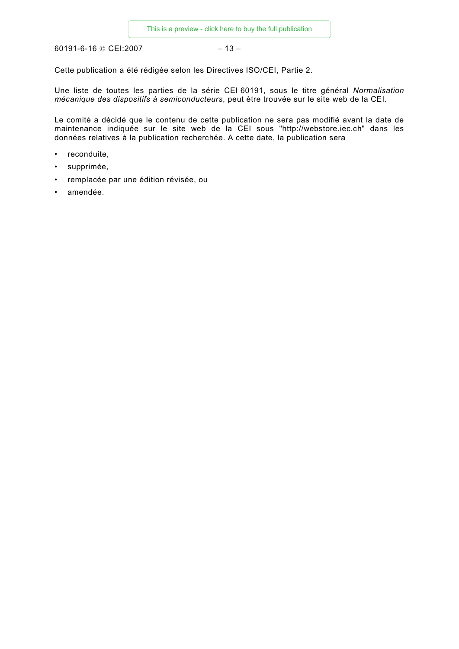60191-6-16 © CEI:2007 - 13 -

Cette publication a été rédigée selon les Directives ISO/CEI, Partie 2.

Une liste de toutes les parties de la série CEI 60191, sous le titre général *Normalisation mécanique des dispositifs à semiconducteurs*, peut être trouvée sur le site web de la CEI.

Le comité a décidé que le contenu de cette publication ne sera pas modifié avant la date de maintenance indiquée sur le site web de la CEI sous "http://webstore.iec.ch" dans les données relatives à la publication recherchée. A cette date, la publication sera

- reconduite,
- supprimée,
- remplacée par une édition révisée, ou
- amendée.